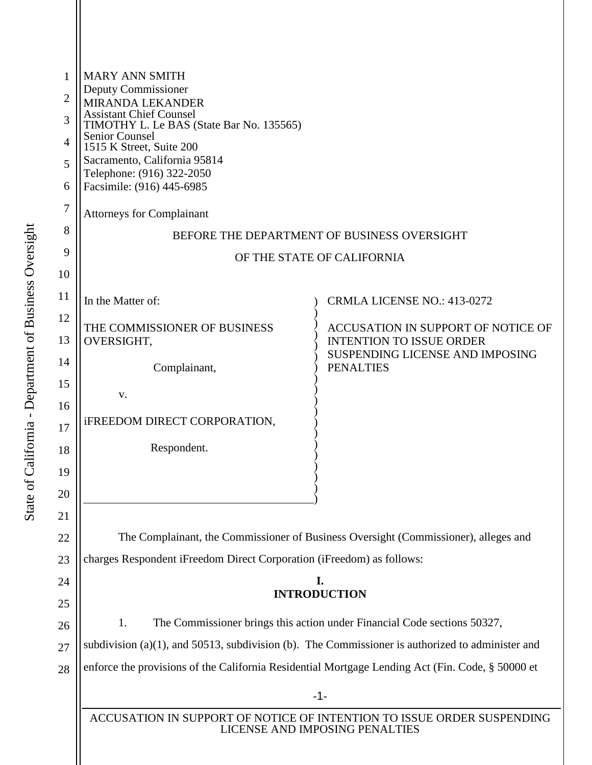| 1  | <b>MARY ANN SMITH</b>                                                                                                                                      |                                                                       |  |  |  |  |  |  |
|----|------------------------------------------------------------------------------------------------------------------------------------------------------------|-----------------------------------------------------------------------|--|--|--|--|--|--|
| 2  | Deputy Commissioner                                                                                                                                        |                                                                       |  |  |  |  |  |  |
| 3  | <b>MIRANDA LEKANDER</b><br><b>Assistant Chief Counsel</b><br>TIMOTHY L. Le BAS (State Bar No. 135565)<br><b>Senior Counsel</b><br>1515 K Street, Suite 200 |                                                                       |  |  |  |  |  |  |
| 4  |                                                                                                                                                            |                                                                       |  |  |  |  |  |  |
| 5  | Sacramento, California 95814                                                                                                                               |                                                                       |  |  |  |  |  |  |
| 6  | Telephone: (916) 322-2050<br>Facsimile: (916) 445-6985                                                                                                     |                                                                       |  |  |  |  |  |  |
| 7  |                                                                                                                                                            |                                                                       |  |  |  |  |  |  |
| 8  | <b>Attorneys for Complainant</b>                                                                                                                           |                                                                       |  |  |  |  |  |  |
| 9  | BEFORE THE DEPARTMENT OF BUSINESS OVERSIGHT<br>OF THE STATE OF CALIFORNIA                                                                                  |                                                                       |  |  |  |  |  |  |
| 10 |                                                                                                                                                            |                                                                       |  |  |  |  |  |  |
| 11 | In the Matter of:                                                                                                                                          | <b>CRMLA LICENSE NO.: 413-0272</b>                                    |  |  |  |  |  |  |
| 12 |                                                                                                                                                            |                                                                       |  |  |  |  |  |  |
| 13 | THE COMMISSIONER OF BUSINESS<br>OVERSIGHT,                                                                                                                 | ACCUSATION IN SUPPORT OF NOTICE OF<br><b>INTENTION TO ISSUE ORDER</b> |  |  |  |  |  |  |
| 14 |                                                                                                                                                            | SUSPENDING LICENSE AND IMPOSING                                       |  |  |  |  |  |  |
| 15 | Complainant,                                                                                                                                               | <b>PENALTIES</b>                                                      |  |  |  |  |  |  |
| 16 | V.                                                                                                                                                         |                                                                       |  |  |  |  |  |  |
| 17 | <b>iFREEDOM DIRECT CORPORATION,</b>                                                                                                                        |                                                                       |  |  |  |  |  |  |
| 18 | Respondent.                                                                                                                                                |                                                                       |  |  |  |  |  |  |
| 19 |                                                                                                                                                            |                                                                       |  |  |  |  |  |  |
| 20 |                                                                                                                                                            |                                                                       |  |  |  |  |  |  |
| 21 |                                                                                                                                                            |                                                                       |  |  |  |  |  |  |
| 22 | The Complainant, the Commissioner of Business Oversight (Commissioner), alleges and                                                                        |                                                                       |  |  |  |  |  |  |
| 23 | charges Respondent iFreedom Direct Corporation (iFreedom) as follows:                                                                                      |                                                                       |  |  |  |  |  |  |
| 24 | I.                                                                                                                                                         |                                                                       |  |  |  |  |  |  |
| 25 | <b>INTRODUCTION</b>                                                                                                                                        |                                                                       |  |  |  |  |  |  |
| 26 | 1.<br>The Commissioner brings this action under Financial Code sections 50327,                                                                             |                                                                       |  |  |  |  |  |  |
| 27 | subdivision (a) $(1)$ , and 50513, subdivision (b). The Commissioner is authorized to administer and                                                       |                                                                       |  |  |  |  |  |  |
| 28 | enforce the provisions of the California Residential Mortgage Lending Act (Fin. Code, § 50000 et                                                           |                                                                       |  |  |  |  |  |  |
|    | $-1-$                                                                                                                                                      |                                                                       |  |  |  |  |  |  |
|    | ACCUSATION IN SUPPORT OF NOTICE OF INTENTION TO ISSUE ORDER SUSPENDING<br>LICENSE AND IMPOSING PENALTIES                                                   |                                                                       |  |  |  |  |  |  |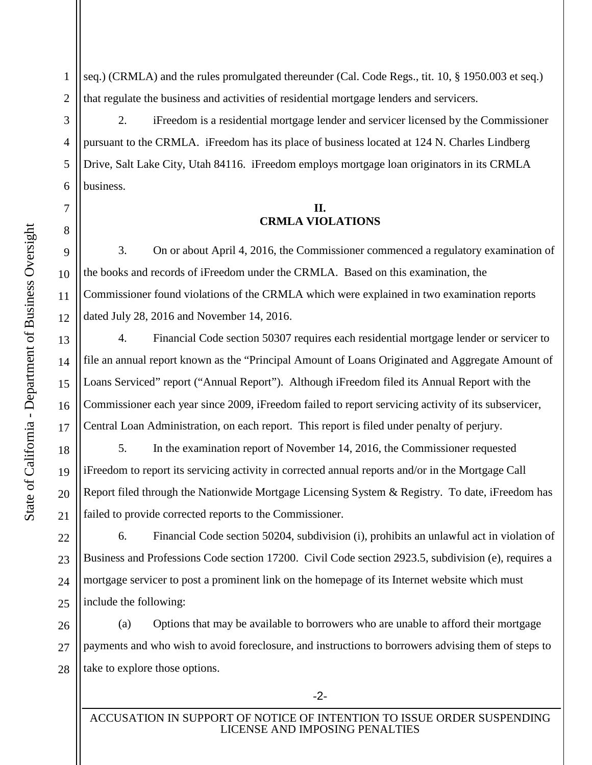1 2 seq.) (CRMLA) and the rules promulgated thereunder (Cal. Code Regs., tit. 10, § 1950.003 et seq.) that regulate the business and activities of residential mortgage lenders and servicers.

2. iFreedom is a residential mortgage lender and servicer licensed by the Commissioner pursuant to the CRMLA. iFreedom has its place of business located at 124 N. Charles Lindberg Drive, Salt Lake City, Utah 84116. iFreedom employs mortgage loan originators in its CRMLA business.

## **II. CRMLA VIOLATIONS**

3. On or about April 4, 2016, the Commissioner commenced a regulatory examination of the books and records of iFreedom under the CRMLA. Based on this examination, the Commissioner found violations of the CRMLA which were explained in two examination reports dated July 28, 2016 and November 14, 2016.

4. Financial Code section 50307 requires each residential mortgage lender or servicer to file an annual report known as the "Principal Amount of Loans Originated and Aggregate Amount of Loans Serviced" report ("Annual Report"). Although iFreedom filed its Annual Report with the Commissioner each year since 2009, iFreedom failed to report servicing activity of its subservicer, Central Loan Administration, on each report. This report is filed under penalty of perjury.

5. In the examination report of November 14, 2016, the Commissioner requested iFreedom to report its servicing activity in corrected annual reports and/or in the Mortgage Call Report filed through the Nationwide Mortgage Licensing System & Registry. To date, iFreedom has failed to provide corrected reports to the Commissioner.

22 23 24 25 6. Financial Code section 50204, subdivision (i), prohibits an unlawful act in violation of Business and Professions Code section 17200. Civil Code section 2923.5, subdivision (e), requires a mortgage servicer to post a prominent link on the homepage of its Internet website which must include the following:

26 27 28 (a) Options that may be available to borrowers who are unable to afford their mortgage payments and who wish to avoid foreclosure, and instructions to borrowers advising them of steps to take to explore those options.

3

4

5

6

7

8

9

10

11

12

13

14

15

16

17

18

19

20

21

-2-

ACCUSATION IN SUPPORT OF NOTICE OF INTENTION TO ISSUE ORDER SUSPENDING LICENSE AND IMPOSING PENALTIES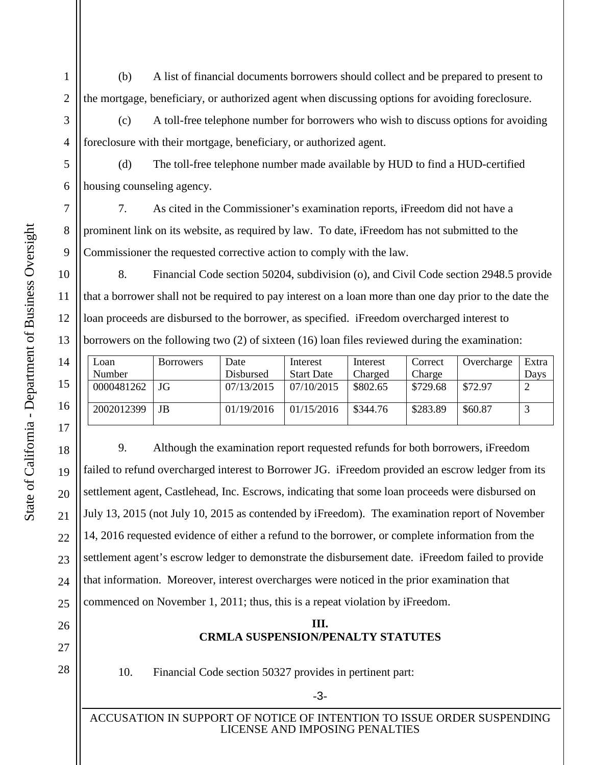1 2 (b) A list of financial documents borrowers should collect and be prepared to present to the mortgage, beneficiary, or authorized agent when discussing options for avoiding foreclosure.

(c) A toll-free telephone number for borrowers who wish to discuss options for avoiding foreclosure with their mortgage, beneficiary, or authorized agent.

(d) The toll-free telephone number made available by HUD to find a HUD-certified housing counseling agency.

7. As cited in the Commissioner's examination reports, iFreedom did not have a prominent link on its website, as required by law. To date, iFreedom has not submitted to the Commissioner the requested corrective action to comply with the law.

8. Financial Code section 50204, subdivision (o), and Civil Code section 2948.5 provide that a borrower shall not be required to pay interest on a loan more than one day prior to the date the loan proceeds are disbursed to the borrower, as specified. iFreedom overcharged interest to borrowers on the following two (2) of sixteen (16) loan files reviewed during the examination:

| Loan       | <b>Borrowers</b> | Date       | Interest          | Interest | Correct  | Overcharge | Extra |
|------------|------------------|------------|-------------------|----------|----------|------------|-------|
| Number     |                  | Disbursed  | <b>Start Date</b> | Charged  | Charge   |            | Days  |
| 0000481262 | JG               | 07/13/2015 | 07/10/2015        | \$802.65 | \$729.68 | \$72.97    |       |
| 2002012399 | JB               | 01/19/2016 | 01/15/2016        | \$344.76 | \$283.89 | \$60.87    |       |

9. Although the examination report requested refunds for both borrowers, iFreedom failed to refund overcharged interest to Borrower JG. iFreedom provided an escrow ledger from its settlement agent, Castlehead, Inc. Escrows, indicating that some loan proceeds were disbursed on July 13, 2015 (not July 10, 2015 as contended by iFreedom). The examination report of November 14, 2016 requested evidence of either a refund to the borrower, or complete information from the settlement agent's escrow ledger to demonstrate the disbursement date. iFreedom failed to provide that information. Moreover, interest overcharges were noticed in the prior examination that commenced on November 1, 2011; thus, this is a repeat violation by iFreedom.

## **III. CRMLA SUSPENSION/PENALTY STATUTES**

10. Financial Code section 50327 provides in pertinent part:

3

4

5

6

7

8

9

10

11

12

13

14

15

16

17

18

19

20

21

22

23

24

25

26

27

28

-3-

ACCUSATION IN SUPPORT OF NOTICE OF INTENTION TO ISSUE ORDER SUSPENDING LICENSE AND IMPOSING PENALTIES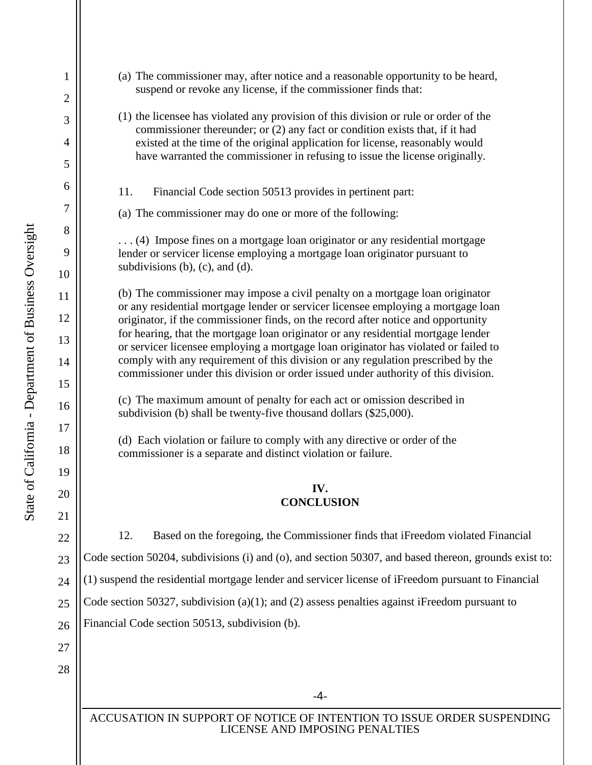State of California - Department of Business Oversight State of California - Department of Business Oversight

1

2

3

4

5

6

7

8

9

10

11

12

13

14

15

16

17

18

19

20

21

22

23

24

25

26

- (a) The commissioner may, after notice and a reasonable opportunity to be heard, suspend or revoke any license, if the commissioner finds that:
- (1) the licensee has violated any provision of this division or rule or order of the commissioner thereunder; or (2) any fact or condition exists that, if it had existed at the time of the original application for license, reasonably would have warranted the commissioner in refusing to issue the license originally.
- 11. Financial Code section 50513 provides in pertinent part:
- (a) The commissioner may do one or more of the following:

. . . (4) Impose fines on a mortgage loan originator or any residential mortgage lender or servicer license employing a mortgage loan originator pursuant to subdivisions  $(b)$ ,  $(c)$ , and  $(d)$ .

(b) The commissioner may impose a civil penalty on a mortgage loan originator or any residential mortgage lender or servicer licensee employing a mortgage loan originator, if the commissioner finds, on the record after notice and opportunity for hearing, that the mortgage loan originator or any residential mortgage lender or servicer licensee employing a mortgage loan originator has violated or failed to comply with any requirement of this division or any regulation prescribed by the commissioner under this division or order issued under authority of this division.

(c) The maximum amount of penalty for each act or omission described in subdivision (b) shall be twenty-five thousand dollars (\$25,000).

(d) Each violation or failure to comply with any directive or order of the commissioner is a separate and distinct violation or failure.

## **IV. CONCLUSION**

12. Based on the foregoing, the Commissioner finds that iFreedom violated Financial Code section 50204, subdivisions (i) and (o), and section 50307, and based thereon, grounds exist to: (1) suspend the residential mortgage lender and servicer license of iFreedom pursuant to Financial Code section 50327, subdivision (a)(1); and (2) assess penalties against iFreedom pursuant to Financial Code section 50513, subdivision (b).

-4-

ACCUSATION IN SUPPORT OF NOTICE OF INTENTION TO ISSUE ORDER SUSPENDING LICENSE AND IMPOSING PENALTIES